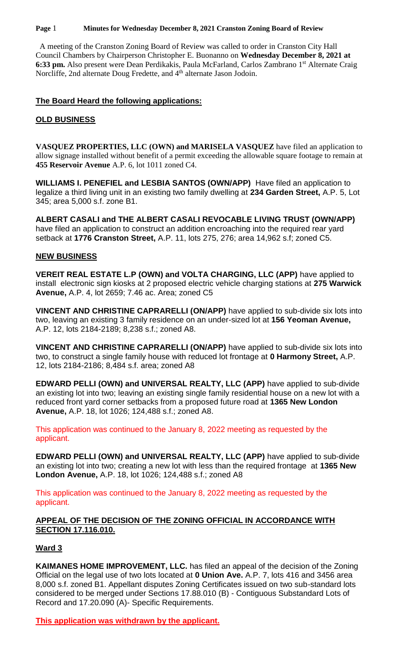#### **Page** 1 **Minutes for Wednesday December 8, 2021 Cranston Zoning Board of Review**

 A meeting of the Cranston Zoning Board of Review was called to order in Cranston City Hall Council Chambers by Chairperson Christopher E. Buonanno on **Wednesday December 8, 2021 at**  6:33 pm. Also present were Dean Perdikakis, Paula McFarland, Carlos Zambrano 1<sup>st</sup> Alternate Craig Norcliffe, 2nd alternate Doug Fredette, and 4<sup>th</sup> alternate Jason Jodoin.

### **The Board Heard the following applications:**

### **OLD BUSINESS**

**VASQUEZ PROPERTIES, LLC (OWN) and MARISELA VASQUEZ** have filed an application to allow signage installed without benefit of a permit exceeding the allowable square footage to remain at **455 Reservoir Avenue** A.P. 6, lot 1011 zoned C4.

**WILLIAMS I. PENEFIEL and LESBIA SANTOS (OWN/APP)** Have filed an application to legalize a third living unit in an existing two family dwelling at **234 Garden Street,** A.P. 5, Lot 345; area 5,000 s.f. zone B1.

**ALBERT CASALI and THE ALBERT CASALI REVOCABLE LIVING TRUST (OWN/APP)**  have filed an application to construct an addition encroaching into the required rear yard setback at **1776 Cranston Street,** A.P. 11, lots 275, 276; area 14,962 s.f; zoned C5.

### **NEW BUSINESS**

**VEREIT REAL ESTATE L.P (OWN) and VOLTA CHARGING, LLC (APP)** have applied to install electronic sign kiosks at 2 proposed electric vehicle charging stations at **275 Warwick Avenue,** A.P. 4, lot 2659; 7.46 ac. Area; zoned C5

**VINCENT AND CHRISTINE CAPRARELLI (ON/APP)** have applied to sub-divide six lots into two, leaving an existing 3 family residence on an under-sized lot at **156 Yeoman Avenue,**  A.P. 12, lots 2184-2189; 8,238 s.f.; zoned A8.

**VINCENT AND CHRISTINE CAPRARELLI (ON/APP)** have applied to sub-divide six lots into two, to construct a single family house with reduced lot frontage at **0 Harmony Street,** A.P. 12, lots 2184-2186; 8,484 s.f. area; zoned A8

**EDWARD PELLI (OWN) and UNIVERSAL REALTY, LLC (APP)** have applied to sub-divide an existing lot into two; leaving an existing single family residential house on a new lot with a reduced front yard corner setbacks from a proposed future road at **1365 New London Avenue,** A.P. 18, lot 1026; 124,488 s.f.; zoned A8.

This application was continued to the January 8, 2022 meeting as requested by the applicant.

**EDWARD PELLI (OWN) and UNIVERSAL REALTY, LLC (APP)** have applied to sub-divide an existing lot into two; creating a new lot with less than the required frontage at **1365 New London Avenue,** A.P. 18, lot 1026; 124,488 s.f.; zoned A8

This application was continued to the January 8, 2022 meeting as requested by the applicant.

### **APPEAL OF THE DECISION OF THE ZONING OFFICIAL IN ACCORDANCE WITH SECTION 17.116.010.**

# **Ward 3**

**KAIMANES HOME IMPROVEMENT, LLC.** has filed an appeal of the decision of the Zoning Official on the legal use of two lots located at **0 Union Ave.** A.P. 7, lots 416 and 3456 area 8,000 s.f. zoned B1. Appellant disputes Zoning Certificates issued on two sub-standard lots considered to be merged under Sections 17.88.010 (B) - Contiguous Substandard Lots of Record and 17.20.090 (A)- Specific Requirements.

**This application was withdrawn by the applicant.**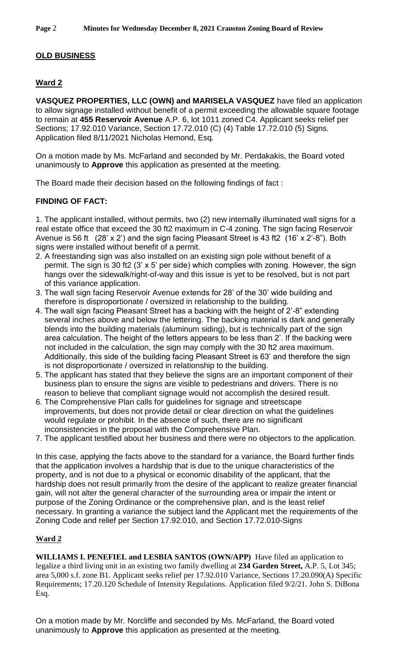### **OLD BUSINESS**

# **Ward 2**

**VASQUEZ PROPERTIES, LLC (OWN) and MARISELA VASQUEZ** have filed an application to allow signage installed without benefit of a permit exceeding the allowable square footage to remain at **455 Reservoir Avenue** A.P. 6, lot 1011 zoned C4. Applicant seeks relief per Sections; 17.92.010 Variance, Section 17.72.010 (C) (4) Table 17.72.010 (5) Signs. Application filed 8/11/2021 Nicholas Hemond, Esq.

On a motion made by Ms. McFarland and seconded by Mr. Perdakakis, the Board voted unanimously to **Approve** this application as presented at the meeting.

The Board made their decision based on the following findings of fact :

#### **FINDING OF FACT:**

1. The applicant installed, without permits, two (2) new internally illuminated wall signs for a real estate office that exceed the 30 ft2 maximum in C-4 zoning. The sign facing Reservoir Avenue is 56 ft (28' x 2') and the sign facing Pleasant Street is 43 ft2 (16' x 2'-8"). Both signs were installed without benefit of a permit.

- 2. A freestanding sign was also installed on an existing sign pole without benefit of a permit. The sign is 30 ft2 (3' x 5' per side) which complies with zoning. However, the sign hangs over the sidewalk/right-of-way and this issue is yet to be resolved, but is not part of this variance application.
- 3. The wall sign facing Reservoir Avenue extends for 28' of the 30' wide building and therefore is disproportionate / oversized in relationship to the building.
- 4. The wall sign facing Pleasant Street has a backing with the height of 2'-8" extending several inches above and below the lettering. The backing material is dark and generally blends into the building materials (aluminum siding), but is technically part of the sign area calculation. The height of the letters appears to be less than 2'. If the backing were not included in the calculation, the sign may comply with the 30 ft2 area maximum. Additionally, this side of the building facing Pleasant Street is 63' and therefore the sign is not disproportionate / oversized in relationship to the building.
- 5. The applicant has stated that they believe the signs are an important component of their business plan to ensure the signs are visible to pedestrians and drivers. There is no reason to believe that compliant signage would not accomplish the desired result.
- 6. The Comprehensive Plan calls for guidelines for signage and streetscape improvements, but does not provide detail or clear direction on what the guidelines would regulate or prohibit. In the absence of such, there are no significant inconsistencies in the proposal with the Comprehensive Plan.
- 7. The applicant testified about her business and there were no objectors to the application.

In this case, applying the facts above to the standard for a variance, the Board further finds that the application involves a hardship that is due to the unique characteristics of the property, and is not due to a physical or economic disability of the applicant, that the hardship does not result primarily from the desire of the applicant to realize greater financial gain, will not alter the general character of the surrounding area or impair the intent or purpose of the Zoning Ordinance or the comprehensive plan, and is the least relief necessary. In granting a variance the subject land the Applicant met the requirements of the Zoning Code and relief per Section 17.92.010, and Section 17.72.010-Signs

#### **Ward 2**

**WILLIAMS I. PENEFIEL and LESBIA SANTOS (OWN/APP)** Have filed an application to legalize a third living unit in an existing two family dwelling at **234 Garden Street,** A.P. 5, Lot 345; area 5,000 s.f. zone B1. Applicant seeks relief per 17.92.010 Variance, Sections 17.20.090(A) Specific Requirements; 17.20.120 Schedule of Intensity Regulations. Application filed 9/2/21. John S. DiBona Esq.

On a motion made by Mr. Norcliffe and seconded by Ms. McFarland, the Board voted unanimously to **Approve** this application as presented at the meeting.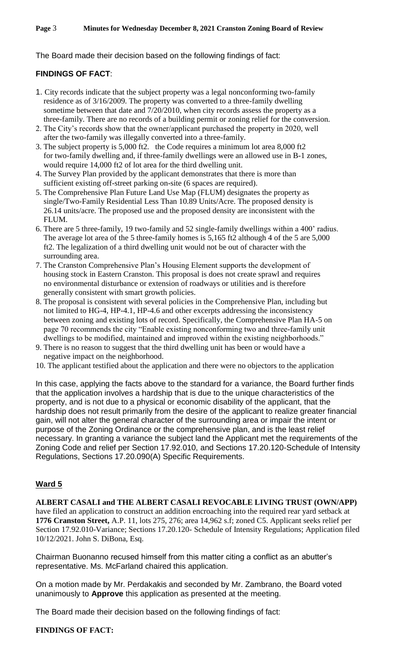The Board made their decision based on the following findings of fact:

# **FINDINGS OF FACT**:

- 1. City records indicate that the subject property was a legal nonconforming two-family residence as of 3/16/2009. The property was converted to a three-family dwelling sometime between that date and 7/20/2010, when city records assess the property as a three-family. There are no records of a building permit or zoning relief for the conversion.
- 2. The City's records show that the owner/applicant purchased the property in 2020, well after the two-family was illegally converted into a three-family.
- 3. The subject property is 5,000 ft2. the Code requires a minimum lot area 8,000 ft2 for two-family dwelling and, if three-family dwellings were an allowed use in B-1 zones, would require 14,000 ft2 of lot area for the third dwelling unit.
- 4. The Survey Plan provided by the applicant demonstrates that there is more than sufficient existing off-street parking on-site (6 spaces are required).
- 5. The Comprehensive Plan Future Land Use Map (FLUM) designates the property as single/Two-Family Residential Less Than 10.89 Units/Acre. The proposed density is 26.14 units/acre. The proposed use and the proposed density are inconsistent with the FLUM.
- 6. There are 5 three-family, 19 two-family and 52 single-family dwellings within a 400' radius. The average lot area of the 5 three-family homes is 5,165 ft2 although 4 of the 5 are 5,000 ft2. The legalization of a third dwelling unit would not be out of character with the surrounding area.
- 7. The Cranston Comprehensive Plan's Housing Element supports the development of housing stock in Eastern Cranston. This proposal is does not create sprawl and requires no environmental disturbance or extension of roadways or utilities and is therefore generally consistent with smart growth policies.
- 8. The proposal is consistent with several policies in the Comprehensive Plan, including but not limited to HG-4, HP-4.1, HP-4.6 and other excerpts addressing the inconsistency between zoning and existing lots of record. Specifically, the Comprehensive Plan HA-5 on page 70 recommends the city "Enable existing nonconforming two and three-family unit dwellings to be modified, maintained and improved within the existing neighborhoods."
- 9. There is no reason to suggest that the third dwelling unit has been or would have a negative impact on the neighborhood.
- 10. The applicant testified about the application and there were no objectors to the application

In this case, applying the facts above to the standard for a variance, the Board further finds that the application involves a hardship that is due to the unique characteristics of the property, and is not due to a physical or economic disability of the applicant, that the hardship does not result primarily from the desire of the applicant to realize greater financial gain, will not alter the general character of the surrounding area or impair the intent or purpose of the Zoning Ordinance or the comprehensive plan, and is the least relief necessary. In granting a variance the subject land the Applicant met the requirements of the Zoning Code and relief per Section 17.92.010, and Sections 17.20.120-Schedule of Intensity Regulations, Sections 17.20.090(A) Specific Requirements.

# **Ward 5**

**ALBERT CASALI and THE ALBERT CASALI REVOCABLE LIVING TRUST (OWN/APP)**  have filed an application to construct an addition encroaching into the required rear yard setback at **1776 Cranston Street,** A.P. 11, lots 275, 276; area 14,962 s.f; zoned C5. Applicant seeks relief per Section 17.92.010-Variance; Sections 17.20.120- Schedule of Intensity Regulations; Application filed 10/12/2021. John S. DiBona, Esq.

Chairman Buonanno recused himself from this matter citing a conflict as an abutter's representative. Ms. McFarland chaired this application.

On a motion made by Mr. Perdakakis and seconded by Mr. Zambrano, the Board voted unanimously to **Approve** this application as presented at the meeting.

The Board made their decision based on the following findings of fact:

#### **FINDINGS OF FACT:**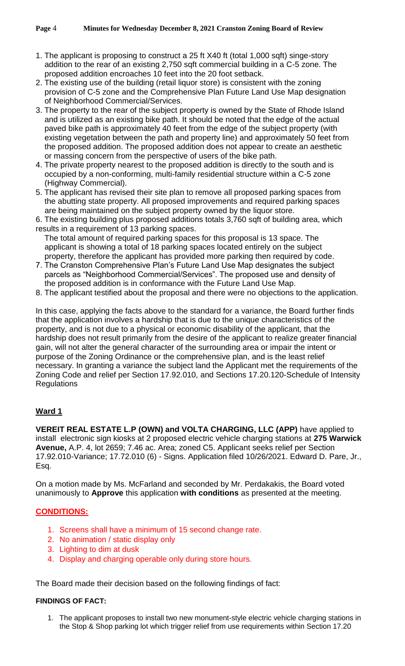- 1. The applicant is proposing to construct a 25 ft X40 ft (total 1,000 sqft) singe-story addition to the rear of an existing 2,750 sqft commercial building in a C-5 zone. The proposed addition encroaches 10 feet into the 20 foot setback.
- 2. The existing use of the building (retail liquor store) is consistent with the zoning provision of C-5 zone and the Comprehensive Plan Future Land Use Map designation of Neighborhood Commercial/Services.
- 3. The property to the rear of the subject property is owned by the State of Rhode Island and is utilized as an existing bike path. It should be noted that the edge of the actual paved bike path is approximately 40 feet from the edge of the subject property (with existing vegetation between the path and property line) and approximately 50 feet from the proposed addition. The proposed addition does not appear to create an aesthetic or massing concern from the perspective of users of the bike path.
- 4. The private property nearest to the proposed addition is directly to the south and is occupied by a non-conforming, multi-family residential structure within a C-5 zone (Highway Commercial).
- 5. The applicant has revised their site plan to remove all proposed parking spaces from the abutting state property. All proposed improvements and required parking spaces are being maintained on the subject property owned by the liquor store.
- 6. The existing building plus proposed additions totals 3,760 sqft of building area, which results in a requirement of 13 parking spaces.
	- The total amount of required parking spaces for this proposal is 13 space. The applicant is showing a total of 18 parking spaces located entirely on the subject property, therefore the applicant has provided more parking then required by code.
- 7. The Cranston Comprehensive Plan's Future Land Use Map designates the subject parcels as "Neighborhood Commercial/Services". The proposed use and density of the proposed addition is in conformance with the Future Land Use Map.
- 8. The applicant testified about the proposal and there were no objections to the application.

In this case, applying the facts above to the standard for a variance, the Board further finds that the application involves a hardship that is due to the unique characteristics of the property, and is not due to a physical or economic disability of the applicant, that the hardship does not result primarily from the desire of the applicant to realize greater financial gain, will not alter the general character of the surrounding area or impair the intent or purpose of the Zoning Ordinance or the comprehensive plan, and is the least relief necessary. In granting a variance the subject land the Applicant met the requirements of the Zoning Code and relief per Section 17.92.010, and Sections 17.20.120-Schedule of Intensity **Regulations** 

# **Ward 1**

**VEREIT REAL ESTATE L.P (OWN) and VOLTA CHARGING, LLC (APP)** have applied to install electronic sign kiosks at 2 proposed electric vehicle charging stations at **275 Warwick Avenue,** A.P. 4, lot 2659; 7.46 ac. Area; zoned C5. Applicant seeks relief per Section 17.92.010-Variance; 17.72.010 (6) - Signs. Application filed 10/26/2021. Edward D. Pare, Jr., Esq.

On a motion made by Ms. McFarland and seconded by Mr. Perdakakis, the Board voted unanimously to **Approve** this application **with conditions** as presented at the meeting.

# **CONDITIONS:**

- 1. Screens shall have a minimum of 15 second change rate.
- 2. No animation / static display only
- 3. Lighting to dim at dusk
- 4. Display and charging operable only during store hours.

The Board made their decision based on the following findings of fact:

#### **FINDINGS OF FACT:**

1. The applicant proposes to install two new monument-style electric vehicle charging stations in the Stop & Shop parking lot which trigger relief from use requirements within Section 17.20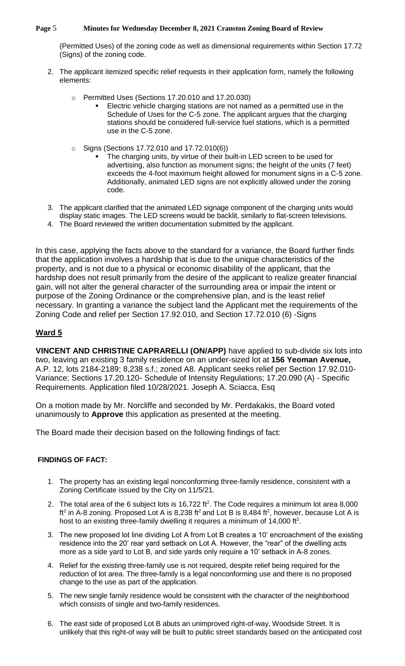#### **Page** 5 **Minutes for Wednesday December 8, 2021 Cranston Zoning Board of Review**

(Permitted Uses) of the zoning code as well as dimensional requirements within Section 17.72 (Signs) of the zoning code.

- 2. The applicant itemized specific relief requests in their application form, namely the following elements:
	- o Permitted Uses (Sections 17.20.010 and 17.20.030)
		- Electric vehicle charging stations are not named as a permitted use in the Schedule of Uses for the C-5 zone. The applicant argues that the charging stations should be considered full-service fuel stations, which is a permitted use in the C-5 zone.
	- o Signs (Sections 17.72.010 and 17.72.010(6))
		- The charging units, by virtue of their built-in LED screen to be used for advertising, also function as monument signs; the height of the units (7 feet) exceeds the 4-foot maximum height allowed for monument signs in a C-5 zone. Additionally, animated LED signs are not explicitly allowed under the zoning code.
- 3. The applicant clarified that the animated LED signage component of the charging units would display static images. The LED screens would be backlit, similarly to flat-screen televisions.
- 4. The Board reviewed the written documentation submitted by the applicant.

In this case, applying the facts above to the standard for a variance, the Board further finds that the application involves a hardship that is due to the unique characteristics of the property, and is not due to a physical or economic disability of the applicant, that the hardship does not result primarily from the desire of the applicant to realize greater financial gain, will not alter the general character of the surrounding area or impair the intent or purpose of the Zoning Ordinance or the comprehensive plan, and is the least relief necessary. In granting a variance the subject land the Applicant met the requirements of the Zoning Code and relief per Section 17.92.010, and Section 17.72.010 (6) -Signs

# **Ward 5**

**VINCENT AND CHRISTINE CAPRARELLI (ON/APP)** have applied to sub-divide six lots into two, leaving an existing 3 family residence on an under-sized lot at **156 Yeoman Avenue,**  A.P. 12, lots 2184-2189; 8,238 s.f.; zoned A8. Applicant seeks relief per Section 17.92.010- Variance; Sections 17.20.120- Schedule of Intensity Regulations; 17.20.090 (A) - Specific Requirements. Application filed 10/28/2021. Joseph A. Sciacca, Esq

On a motion made by Mr. Norcliffe and seconded by Mr. Perdakakis, the Board voted unanimously to **Approve** this application as presented at the meeting.

The Board made their decision based on the following findings of fact:

#### **FINDINGS OF FACT:**

- 1. The property has an existing legal nonconforming three-family residence, consistent with a Zoning Certificate issued by the City on 11/5/21.
- 2. The total area of the 6 subject lots is  $16,722$  ft<sup>2</sup>. The Code requires a minimum lot area 8,000 ft<sup>2</sup> in A-8 zoning. Proposed Lot A is 8,238 ft<sup>2</sup> and Lot B is 8,484 ft<sup>2</sup>, however, because Lot A is host to an existing three-family dwelling it requires a minimum of 14,000 ft<sup>2</sup>.
- 3. The new proposed lot line dividing Lot A from Lot B creates a 10' encroachment of the existing residence into the 20' rear yard setback on Lot A. However, the "rear" of the dwelling acts more as a side yard to Lot B, and side yards only require a 10' setback in A-8 zones.
- 4. Relief for the existing three-family use is not required, despite relief being required for the reduction of lot area. The three-family is a legal nonconforming use and there is no proposed change to the use as part of the application.
- 5. The new single family residence would be consistent with the character of the neighborhood which consists of single and two-family residences.
- 6. The east side of proposed Lot B abuts an unimproved right-of-way, Woodside Street. It is unlikely that this right-of way will be built to public street standards based on the anticipated cost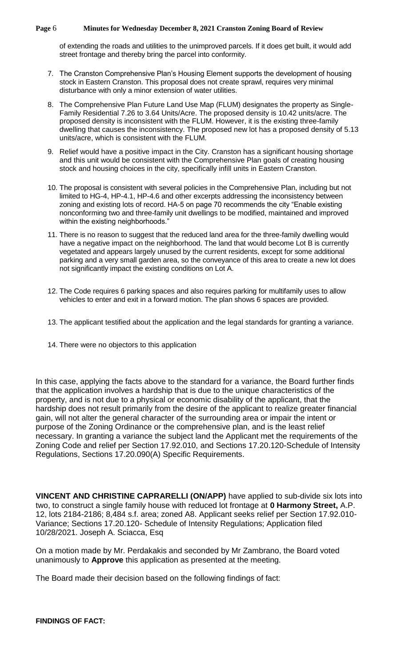#### **Page** 6 **Minutes for Wednesday December 8, 2021 Cranston Zoning Board of Review**

of extending the roads and utilities to the unimproved parcels. If it does get built, it would add street frontage and thereby bring the parcel into conformity.

- 7. The Cranston Comprehensive Plan's Housing Element supports the development of housing stock in Eastern Cranston. This proposal does not create sprawl, requires very minimal disturbance with only a minor extension of water utilities.
- 8. The Comprehensive Plan Future Land Use Map (FLUM) designates the property as Single-Family Residential 7.26 to 3.64 Units/Acre. The proposed density is 10.42 units/acre. The proposed density is inconsistent with the FLUM. However, it is the existing three-family dwelling that causes the inconsistency. The proposed new lot has a proposed density of 5.13 units/acre, which is consistent with the FLUM.
- 9. Relief would have a positive impact in the City. Cranston has a significant housing shortage and this unit would be consistent with the Comprehensive Plan goals of creating housing stock and housing choices in the city, specifically infill units in Eastern Cranston.
- 10. The proposal is consistent with several policies in the Comprehensive Plan, including but not limited to HG-4, HP-4.1, HP-4.6 and other excerpts addressing the inconsistency between zoning and existing lots of record. HA-5 on page 70 recommends the city "Enable existing nonconforming two and three-family unit dwellings to be modified, maintained and improved within the existing neighborhoods."
- 11. There is no reason to suggest that the reduced land area for the three-family dwelling would have a negative impact on the neighborhood. The land that would become Lot B is currently vegetated and appears largely unused by the current residents, except for some additional parking and a very small garden area, so the conveyance of this area to create a new lot does not significantly impact the existing conditions on Lot A.
- 12. The Code requires 6 parking spaces and also requires parking for multifamily uses to allow vehicles to enter and exit in a forward motion. The plan shows 6 spaces are provided.
- 13. The applicant testified about the application and the legal standards for granting a variance.
- 14. There were no objectors to this application

In this case, applying the facts above to the standard for a variance, the Board further finds that the application involves a hardship that is due to the unique characteristics of the property, and is not due to a physical or economic disability of the applicant, that the hardship does not result primarily from the desire of the applicant to realize greater financial gain, will not alter the general character of the surrounding area or impair the intent or purpose of the Zoning Ordinance or the comprehensive plan, and is the least relief necessary. In granting a variance the subject land the Applicant met the requirements of the Zoning Code and relief per Section 17.92.010, and Sections 17.20.120-Schedule of Intensity Regulations, Sections 17.20.090(A) Specific Requirements.

**VINCENT AND CHRISTINE CAPRARELLI (ON/APP)** have applied to sub-divide six lots into two, to construct a single family house with reduced lot frontage at **0 Harmony Street,** A.P. 12, lots 2184-2186; 8,484 s.f. area; zoned A8. Applicant seeks relief per Section 17.92.010- Variance; Sections 17.20.120- Schedule of Intensity Regulations; Application filed 10/28/2021. Joseph A. Sciacca, Esq

On a motion made by Mr. Perdakakis and seconded by Mr Zambrano, the Board voted unanimously to **Approve** this application as presented at the meeting.

The Board made their decision based on the following findings of fact: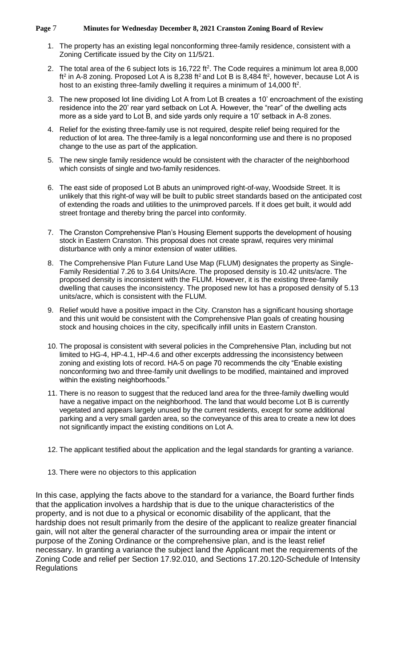#### **Page** 7 **Minutes for Wednesday December 8, 2021 Cranston Zoning Board of Review**

- 1. The property has an existing legal nonconforming three-family residence, consistent with a Zoning Certificate issued by the City on 11/5/21.
- 2. The total area of the 6 subject lots is  $16,722$  ft<sup>2</sup>. The Code requires a minimum lot area 8,000 ft<sup>2</sup> in A-8 zoning. Proposed Lot A is 8,238 ft<sup>2</sup> and Lot B is 8,484 ft<sup>2</sup>, however, because Lot A is host to an existing three-family dwelling it requires a minimum of  $14,000$  ft<sup>2</sup>.
- 3. The new proposed lot line dividing Lot A from Lot B creates a 10' encroachment of the existing residence into the 20' rear yard setback on Lot A. However, the "rear" of the dwelling acts more as a side yard to Lot B, and side yards only require a 10' setback in A-8 zones.
- 4. Relief for the existing three-family use is not required, despite relief being required for the reduction of lot area. The three-family is a legal nonconforming use and there is no proposed change to the use as part of the application.
- 5. The new single family residence would be consistent with the character of the neighborhood which consists of single and two-family residences.
- 6. The east side of proposed Lot B abuts an unimproved right-of-way, Woodside Street. It is unlikely that this right-of way will be built to public street standards based on the anticipated cost of extending the roads and utilities to the unimproved parcels. If it does get built, it would add street frontage and thereby bring the parcel into conformity.
- 7. The Cranston Comprehensive Plan's Housing Element supports the development of housing stock in Eastern Cranston. This proposal does not create sprawl, requires very minimal disturbance with only a minor extension of water utilities.
- 8. The Comprehensive Plan Future Land Use Map (FLUM) designates the property as Single-Family Residential 7.26 to 3.64 Units/Acre. The proposed density is 10.42 units/acre. The proposed density is inconsistent with the FLUM. However, it is the existing three-family dwelling that causes the inconsistency. The proposed new lot has a proposed density of 5.13 units/acre, which is consistent with the FLUM.
- 9. Relief would have a positive impact in the City. Cranston has a significant housing shortage and this unit would be consistent with the Comprehensive Plan goals of creating housing stock and housing choices in the city, specifically infill units in Eastern Cranston.
- 10. The proposal is consistent with several policies in the Comprehensive Plan, including but not limited to HG-4, HP-4.1, HP-4.6 and other excerpts addressing the inconsistency between zoning and existing lots of record. HA-5 on page 70 recommends the city "Enable existing nonconforming two and three-family unit dwellings to be modified, maintained and improved within the existing neighborhoods."
- 11. There is no reason to suggest that the reduced land area for the three-family dwelling would have a negative impact on the neighborhood. The land that would become Lot B is currently vegetated and appears largely unused by the current residents, except for some additional parking and a very small garden area, so the conveyance of this area to create a new lot does not significantly impact the existing conditions on Lot A.
- 12. The applicant testified about the application and the legal standards for granting a variance.
- 13. There were no objectors to this application

In this case, applying the facts above to the standard for a variance, the Board further finds that the application involves a hardship that is due to the unique characteristics of the property, and is not due to a physical or economic disability of the applicant, that the hardship does not result primarily from the desire of the applicant to realize greater financial gain, will not alter the general character of the surrounding area or impair the intent or purpose of the Zoning Ordinance or the comprehensive plan, and is the least relief necessary. In granting a variance the subject land the Applicant met the requirements of the Zoning Code and relief per Section 17.92.010, and Sections 17.20.120-Schedule of Intensity **Regulations**